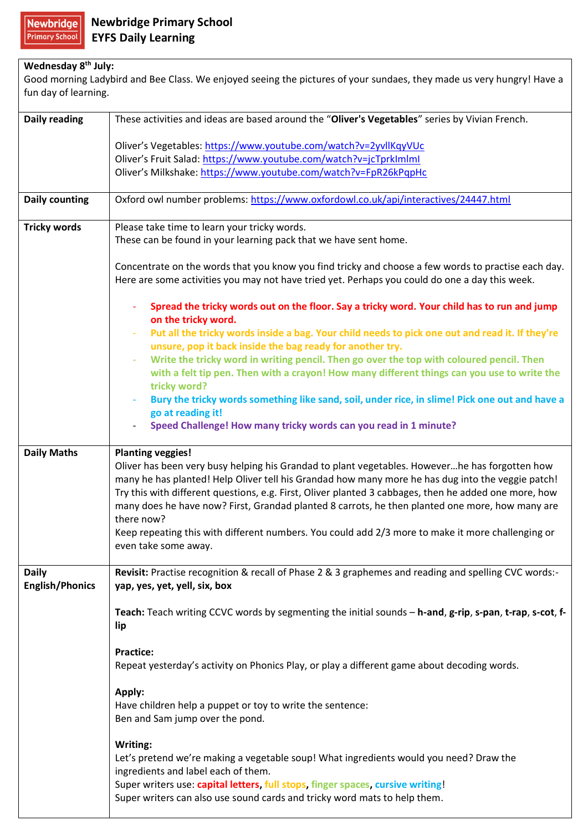**Newbridge Primary School** 

## **Wednesday 8th July:**

Good morning Ladybird and Bee Class. We enjoyed seeing the pictures of your sundaes, they made us very hungry! Have a fun day of learning.

| <b>Daily reading</b>                   | These activities and ideas are based around the "Oliver's Vegetables" series by Vivian French.                                                                                                                                                                                                                                                                                                                                |
|----------------------------------------|-------------------------------------------------------------------------------------------------------------------------------------------------------------------------------------------------------------------------------------------------------------------------------------------------------------------------------------------------------------------------------------------------------------------------------|
|                                        | Oliver's Vegetables: https://www.youtube.com/watch?v=2yvllKqyVUc                                                                                                                                                                                                                                                                                                                                                              |
|                                        | Oliver's Fruit Salad: https://www.youtube.com/watch?v=jcTprkImImI                                                                                                                                                                                                                                                                                                                                                             |
|                                        | Oliver's Milkshake: https://www.youtube.com/watch?v=FpR26kPqpHc                                                                                                                                                                                                                                                                                                                                                               |
| Daily counting                         | Oxford owl number problems: https://www.oxfordowl.co.uk/api/interactives/24447.html                                                                                                                                                                                                                                                                                                                                           |
| <b>Tricky words</b>                    | Please take time to learn your tricky words.<br>These can be found in your learning pack that we have sent home.                                                                                                                                                                                                                                                                                                              |
|                                        | Concentrate on the words that you know you find tricky and choose a few words to practise each day.<br>Here are some activities you may not have tried yet. Perhaps you could do one a day this week.                                                                                                                                                                                                                         |
|                                        | Spread the tricky words out on the floor. Say a tricky word. Your child has to run and jump<br>on the tricky word.                                                                                                                                                                                                                                                                                                            |
|                                        | Put all the tricky words inside a bag. Your child needs to pick one out and read it. If they're<br>unsure, pop it back inside the bag ready for another try.                                                                                                                                                                                                                                                                  |
|                                        | Write the tricky word in writing pencil. Then go over the top with coloured pencil. Then<br>$\overline{\phantom{a}}$<br>with a felt tip pen. Then with a crayon! How many different things can you use to write the<br>tricky word?                                                                                                                                                                                           |
|                                        | Bury the tricky words something like sand, soil, under rice, in slime! Pick one out and have a<br>go at reading it!<br>Speed Challenge! How many tricky words can you read in 1 minute?                                                                                                                                                                                                                                       |
| <b>Daily Maths</b>                     | <b>Planting veggies!</b>                                                                                                                                                                                                                                                                                                                                                                                                      |
|                                        | Oliver has been very busy helping his Grandad to plant vegetables. Howeverhe has forgotten how<br>many he has planted! Help Oliver tell his Grandad how many more he has dug into the veggie patch!<br>Try this with different questions, e.g. First, Oliver planted 3 cabbages, then he added one more, how<br>many does he have now? First, Grandad planted 8 carrots, he then planted one more, how many are<br>there now? |
|                                        | Keep repeating this with different numbers. You could add 2/3 more to make it more challenging or<br>even take some away.                                                                                                                                                                                                                                                                                                     |
| <b>Daily</b><br><b>English/Phonics</b> | Revisit: Practise recognition & recall of Phase 2 & 3 graphemes and reading and spelling CVC words:-<br>yap, yes, yet, yell, six, box                                                                                                                                                                                                                                                                                         |
|                                        | Teach: Teach writing CCVC words by segmenting the initial sounds - h-and, g-rip, s-pan, t-rap, s-cot, f-<br>lip                                                                                                                                                                                                                                                                                                               |
|                                        | <b>Practice:</b><br>Repeat yesterday's activity on Phonics Play, or play a different game about decoding words.                                                                                                                                                                                                                                                                                                               |
|                                        | Apply:<br>Have children help a puppet or toy to write the sentence:<br>Ben and Sam jump over the pond.                                                                                                                                                                                                                                                                                                                        |
|                                        | Writing:<br>Let's pretend we're making a vegetable soup! What ingredients would you need? Draw the<br>ingredients and label each of them.<br>Super writers use: capital letters, full stops, finger spaces, cursive writing!<br>Super writers can also use sound cards and tricky word mats to help them.                                                                                                                     |